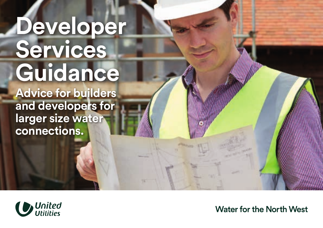# **Developer Services Guidance**

**Advice for builders and developers for larger size water connections.**



**Water for the North West**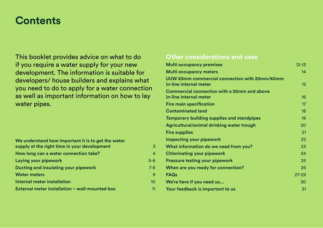# **Contents**

This booklet provides advice on what to do if you require a water supply for your new development. The information is suitable for developers/ house builders and explains what you need to do to apply for a water connection as well as important information on how to lay water pipes.

### **We understand how important it is to get the water supply at the right time in your development** 3 **How long can a water connection take?** 4 **Laying your pipework Example 2018 5-6 Ducting and insulating your pipework** 7-8 **Water meters** 9 **Internal meter installation** 10 **External meter installation – wall-mounted box** 11

#### **Other considerations and uses**

| <b>Multi occupancy premises</b>                                         | $12 - 13$       |
|-------------------------------------------------------------------------|-----------------|
| <b>Multi occupancy meters</b>                                           | 14              |
| UUW 63mm commercial connection with 25mm/40mm<br>in-line internal meter | 15              |
| Commercial connection with a 50mm and above<br>in-line internal meter   | 16 <sup>1</sup> |
| <b>Fire main specification</b>                                          | 17              |
| <b>Contaminated land</b>                                                | 18              |
| <b>Temporary building supplies and standpipes</b>                       | 19              |
| Agricultural/animal drinking water trough                               | 20              |
| <b>Fire supplies</b>                                                    | 21              |
| Inspecting your pipework                                                | 22              |
| What information do we need from you?                                   | 23              |
| <b>Chlorinating your pipework</b>                                       | 24              |
| <b>Pressure testing your pipework</b>                                   | 25              |
| When are you ready for connection?                                      | 26              |
| <b>FAQs</b>                                                             | 27-29           |
| We're here if you need us                                               | 30              |
| Your feedback is important to us                                        | 31              |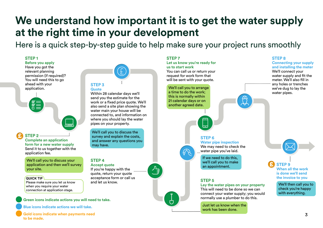# **We understand how important it is to get the water supply at the right time in your development**

Here is a quick step-by-step guide to help make sure your project runs smoothly

#### **STEP 1**

**Before you apply**  Have you got the relevant planning permission (if required)? You will need this to go ahead with your application.



#### **STEP 2 Complete an application form for a new water supply**  Send it to us together with the application fee.

We'll call you to discuss your application and then we'll survey your site.

#### **QUICK TIP**

£

Please make sure you let us know when you require your water connection at application stage.

#### **Green icons indicate actions you will need to take.**

**Blue icons indicate actions we will take.**

**Gold icons indicate when payments need to be made.**

# **STEP 3**

#### **Quote**

Within 28 calendar days we'll send you the estimate for the work or a fixed price quote. We'll also send a site plan showing the water main your house will be connected to, and information on where you should lay the water pipes on your property.

We'll call you to discuss the survey and explain the costs, and answer any questions you may have.

#### **STEP 4**

**Accept quote** 

If you're happy with the ............ quote, return your quote acceptance form or call us and let us know.

#### **STEP 7**

#### **Let us know you're ready for us to start work**

You can call us or return your request for work form that will be sent with your quote.

We'll call you to arrange a time to do the work; this is normally within 21 calendar days or on another agreed date.



#### **STEP 6**

**Water pipe inspection** We may need to check the water pipe you've laid.

If we need to do this, we'll call you to make an appointment.

#### **STEP 5**

#### **Lay the water pipes on your property**

This will need to be done so we can connect your water supply; you would normally use a plumber to do this.

Just let us know when the work has been done.

#### **STEP 8**

**Connecting your supply and installing the meter** 

We'll connect your water supply and fit the meter. We'll also fill in any holes or trenches we've dug to lay the water pipes.

**STEP 9 When all the work is done we'll send the invoice to you**

£

We'll then call you to check you're happy with everything.

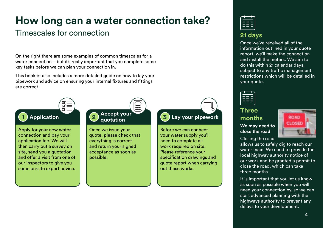# **How long can a water connection take?**

### Timescales for connection

On the right there are some examples of common timescales for a water connection – but it's really important that you complete some key tasks before we can plan your connection in.

This booklet also includes a more detailed guide on how to lay your pipework and advice on ensuring your internal fixtures and fittings are correct.



Apply for your new water connection and pay your application fee. We will then carry out a survey on site, send you a quotation and offer a visit from one of our inspectors to give you some on-site expert advice.

#### $\overline{\mathsf{res}}$ **Accept your 2 quotation**

Once we issue your quote, please check that everything is correct and return your signed acceptance as soon as possible.

# **1** Application **1 2 Constantion 1 3** Lay your pipework

Before we can connect your water supply you'll need to complete all work required on site. Please reference your specification drawings and quote report when carrying out these works.



### **21 days**

Once we've received all of the information outlined in your quote report, we'll make the connection and install the meters. We aim to do this within 21 calendar days, subject to any traffic management restrictions which will be detailed in your quote.



#### **Three months We may need to**

**close the road** Closing the road



allows us to safely dig to reach our water main. We need to provide the local highway authority notice of our work and be granted a permit to close the road, which can take three months.

It is important that you let us know as soon as possible when you will need your connection by, so we can start advanced planning with the highways authority to prevent any delays to your development.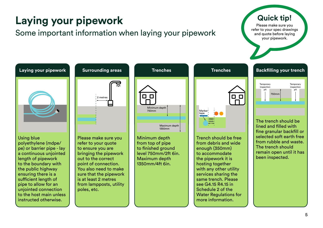# **Laying your pipework**

### Some important information when laying your pipework

**Quick tip!**

Please make sure you refer to your spec drawings and quote before laying your pipework.

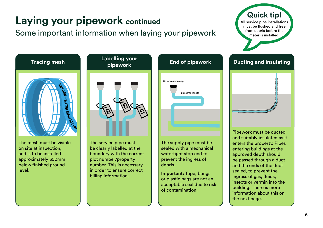# **Laying your pipework continued**

### Some important information when laying your pipework

**Quick tip!** All service pipe installations must be flushed and free from debris before the meter is installed.



The mesh must be visible on site at inspection, and is to be installed approximately 350mm below finished ground level.



The service pipe must be clearly labelled at the boundary with the correct plot number/property number. This is necessary in order to ensure correct billing information.



The supply pipe must be sealed with a mechanical watertight stop end to prevent the ingress of debris.

**Important:** Tape, bungs or plastic bags are not an acceptable seal due to risk of contamination.



the next page.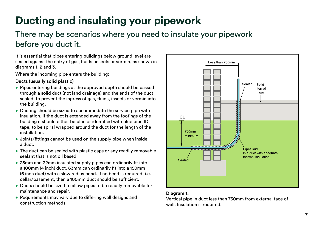# **Ducting and insulating your pipework**

### There may be scenarios where you need to insulate your pipework before you duct it.

It is essential that pipes entering buildings below ground level are sealed against the entry of gas, fluids, insects or vermin, as shown in diagrams 1, 2 and 3.

Where the incoming pipe enters the building:

#### **Ducts (usually solid plastic)**

- Pipes entering buildings at the approved depth should be passed through a solid duct (not land drainage) and the ends of the duct sealed, to prevent the ingress of gas, fluids, insects or vermin into the building.
- Ducting should be sized to accommodate the service pipe with insulation. If the duct is extended away from the footings of the building it should either be blue or identified with blue pipe ID tape, to be spiral wrapped around the duct for the length of the installation.
- Joints/fittings cannot be used on the supply pipe when inside a duct.
- The duct can be sealed with plastic caps or any readily removable sealant that is not oil based.
- 25mm and 32mm insulated supply pipes can ordinarily fit into a 100mm (4 inch) duct. 63mm can ordinarily fit into a 150mm (6 inch duct) with a slow radius bend. If no bend is required, i.e. cellar/basement, then a 100mm duct should be sufficient.
- Ducts should be sized to allow pipes to be readily removable for maintenance and repair.
- Requirements may vary due to differing wall designs and construction methods.



#### **Diagram 1:**

Vertical pipe in duct less than 750mm from external face of wall. Insulation is required.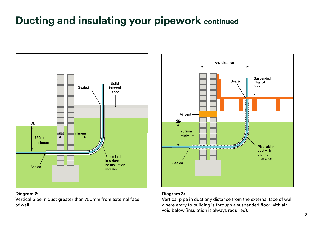# **Ducting and insulating your pipework continued**



#### **Diagram 2:**

Vertical pipe in duct greater than 750mm from external face of wall.



#### **Diagram 3:**

Vertical pipe in duct any distance from the external face of wall where entry to building is through a suspended floor with air void below (insulation is always required).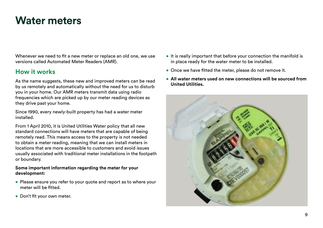# **Water meters**

Whenever we need to fit a new meter or replace an old one, we use versions called Automated Meter Readers (AMR).

### **How it works**

As the name suggests, these new and improved meters can be read by us remotely and automatically without the need for us to disturb you in your home. Our AMR meters transmit data using radio frequencies which are picked up by our meter reading devices as they drive past your home.

Since 1990, every newly-built property has had a water meter installed.

From 1 April 2010, it is United Utilities Water policy that all new standard connections will have meters that are capable of being remotely read. This means access to the property is not needed to obtain a meter reading, meaning that we can install meters in locations that are more accessible to customers and avoid issues usually associated with traditional meter installations in the footpath or boundary.

#### **Some important information regarding the meter for your development:**

- Please ensure you refer to your quote and report as to where your meter will be fitted
- Don't fit your own meter.
- It is really important that before your connection the manifold is in place ready for the water meter to be installed.
- $\bullet$  Once we have fitted the meter, please do not remove it.
- • **All water meters used on new connections will be sourced from United Utilities.**

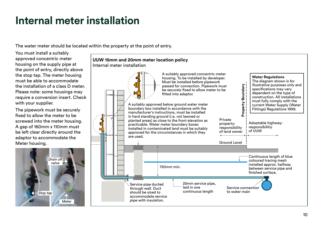# **Internal meter installation**

The water meter should be located within the property at the point of entry.

You must install a suitably approved concentric meter housing on the supply pipe at the point of entry, directly above the stop tap. The meter housing must be able to accommodate the installation of a class D meter. Please note: some housings may require a conversion insert. Check with your supplier.

The pipework must be securely fixed to allow the meter to be screwed into the meter housing. A gap of 160mm x 110mm must be left clear directly around the adaptor to accommodate the Meter housing.



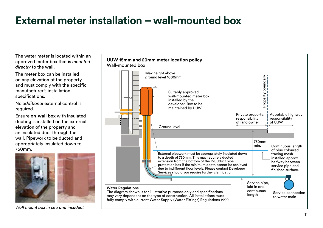# **External meter installation – wall-mounted box**

The water meter is located within an approved meter box that is *mounted directly* to the wall.

The meter box can be installed on any elevation of the property and must comply with the specific manufacturer's installation specifications.

No *additional* external control is required.

Ensure **on-wall box** with insulated ducting is installed on the external elevation of the property and an insulated duct through the wall. Pipework to be ducted and appropriately insulated down to 750mm.



*Wall mount box in situ and insuduct*

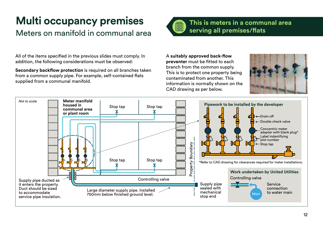# **Multi occupancy premises**

# Meters on manifold in communal area

All of the items specified in the previous slides must comply. In addition, the following considerations must be observed:

**Secondary backflow protection** is required on all branches taken from a common supply pipe. For example, self-contained flats supplied from a communal manifold.



### **This is meters in a communal area serving all premises/flats**

A **suitably approved back-flow preventer** must be fitted to each branch from the common supply. This is to protect one property being contaminated from another. This information is normally shown on the CAD drawing as per below.



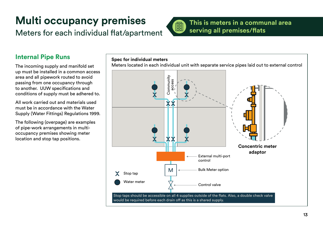# **Multi occupancy premises**

# Meters for each individual flat/apartment



### **This is meters in a communal area serving all premises/flats**

### **Internal Pipe Runs**

The incoming supply and manifold set up must be installed in a common access area and all pipework routed to avoid passing from one occupancy through to another. UUW specifications and conditions of supply must be adhered to.

All work carried out and materials used must be in accordance with the Water Supply (Water Fittings) Regulations 1999.

The following (overpage) are examples of pipe-work arrangements in multioccupancy premises showing meter location and stop tap positions.

#### **Spec for individual meters**

Meters located in each individual unit with separate service pipes laid out to external control

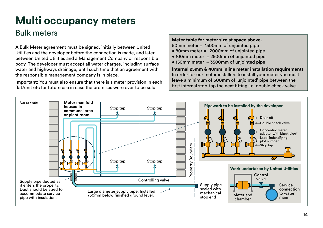# **Multi occupancy meters** Bulk meters

A Bulk Meter agreement must be signed, initially between United Utilities and the developer before the connection is made, and later between United Utilities and a Management Company or responsible body. The developer must accept all water charges, including surface water and highways drainage, until such time that an agreement with the responsible management company is in place.

**Important:** You must also ensure that there is a meter provision in each flat/unit etc for future use in case the premises were ever to be sold.

#### **Meter table for meter size at space above.**

- 50mm meter = 1500mm of unjointed pipe
- 80mm meter = 2000mm of unjointed pipe
- 100mm meter = 2500mm of unjointed pipe
- $\bullet$  150mm meter = 3500mm of uniointed pipe

**Internal 25mm & 40mm inline meter installation requirements**  In order for our meter installers to install your meter you must leave a minimum of **500mm** of 'unjointed' pipe between the first internal stop-tap the next fitting i.e. double check valve.

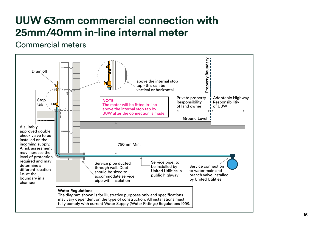# **UUW 63mm commercial connection with 25mm/40mm in-line internal meter**

### Commercial meters

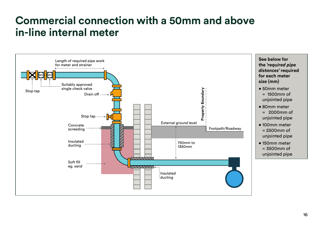# **Commercial connection with a 50mm and above in-line internal meter**

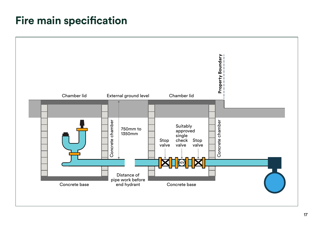# **Fire main specification**

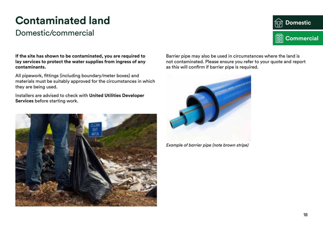# **Contaminated land**

### Domestic/commercial

**Domestic** 向 **<b>RED** Commercial

**If the site has shown to be contaminated, you are required to lay services to protect the water supplies from ingress of any contaminants.** 

All pipework, fittings (including boundary/meter boxes) and materials must be suitably approved for the circumstances in which they are being used.

Installers are advised to check with **United Utilities Developer Services** before starting work.



Barrier pipe may also be used in circumstances where the land is not contaminated. Please ensure you refer to your quote and report as this will confirm if barrier pipe is required.



*Example of barrier pipe (note brown stripe)*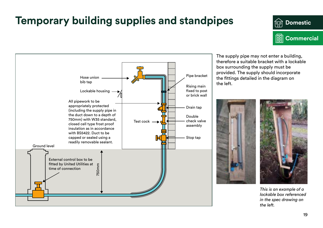# **Temporary building supplies and standpipes**





The supply pipe may not enter a building, therefore a suitable bracket with a lockable box surrounding the supply must be provided. The supply should incorporate the fittings detailed in the diagram on the left.





*This is an example of a lockable box referenced in the spec drawing on the left.*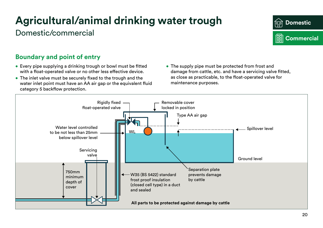# **Agricultural/animal drinking water trough**

## Domestic/commercial



### **Boundary and point of entry**

- Every pipe supplying a drinking trough or bowl must be fitted with a float-operated valve or no other less effective device.
- The inlet valve must be securely fixed to the trough and the water inlet point must have an AA air gap or the equivalent fluid category 5 backflow protection.
- The supply pipe must be protected from frost and damage from cattle, etc. and have a servicing valve fitted, as close as practicable, to the float-operated valve for maintenance purposes.

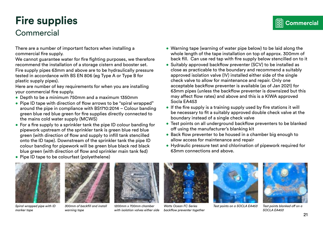# **Fire supplies**

## **Commercial**

There are a number of important factors when installing a commercial fire supply.

We cannot guarantee water for fire fighting purposes, we therefore recommend the installation of a storage cistern and booster set. Fire supply pipes 63mm and above are to be hydraulically pressure tested in accordance with BS EN 806 (eg Type A or Type B for plastic supply pipes).

Here are number of key requirements for when you are installing your commercial fire supply.

- Depth to be a minimum 750mm and a maximum 1350mm
- Pipe ID tape with direction of flow arrows to be "spiral wrapped" around the pipe in compliance with BS1710:2014 – Colour banding green blue red blue green for fire supplies directly connected to the mains cold water supply (MCWS)
- For a fire supply to a sprinkler tank the pipe ID colour banding for pipework upstream of the sprinkler tank is green blue red blue green (with direction of flow and supply to infill tank stencilled onto the ID tape). Downstream of the sprinkler tank the pipe ID colour banding for pipework will be green blue black red black blue green (with direction of flow and sprinkler main tank fed) • Pipe ID tape to be colourfast (polyethelene)
- Warning tape (warning of water pipe below) to be laid along the whole length of the tape installation on top of approx. 300mm of back fill. Can use red tap with fire supply below stencilled on to it • Suitably approved backflow preventer (SCV) to be installed as
- close as practicable to the boundary and recommend a suitably approved isolation valve (IV) installed either side of the single check valve to allow for maintenance and repair. Only one acceptable backflow preventer is available (as of Jan 2021) for 63mm pipes (unless the backflow preventer is downsized but this may affect flow rates) and above and this is a KIWA approved Socla EA453
- If the fire supply is a training supply used by fire stations it will be necessary to fit a suitably approved double check valve at the boundary instead of a single check valve
- Test points on all underground backflow preventers to be blanked off using the manufacturer's blanking kit
- Back flow preventer to be housed in a chamber big enough to allow access for maintenance and repair
- Hydraulic pressure test and chlorination of pipework required for 63mm connections and above.

*Spiral wrapped pipe with ID marker tape*



*300mm of backfill and install warning tape*



*1200mm x 700mm chamber with isolation valves either side*



*Watts Ocean FC Series backflow preventer together*



*Test points on a SOCLA EA453 Test points blanked off on a* 



*SOCLA EA453* 

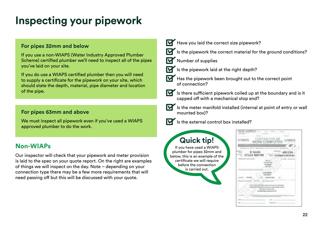# **Inspecting your pipework**

#### **For pipes 32mm and below**

If you use a non-WIAPS (Water Industry Approved Plumber Scheme) certified plumber we'll need to inspect all of the pipes you've laid on your site.

If you do use a WIAPS certified plumber then you will need to supply a certificate for the pipework on your site, which should state the depth, material, pipe diameter and location of the pipe.

#### **For pipes 63mm and above**

We must inspect all pipework even if you've used a WIAPS approved plumber to do the work.

### **Non-WIAPs**

Our inspector will check that your pipework and meter provision is laid to the spec on your quote report. On the right are examples of things we will inspect on the day. Note – depending on your connection type there may be a few more requirements that will need passing off but this will be discussed with your quote.

- Have you laid the correct size pipework?
	- $\check{}$  Is the pipework the correct material for the ground conditions?
	- Number of supplies
	- $\widetilde{\phantom{a}}$  Is the pipework laid at the right depth?
	- $\overline{\phantom{a}}$  Has the pipework been brought out to the correct point of connection?
- - $\check{}$  Is there sufficient pipework coiled up at the boundary and is it capped off with a mechanical stop end?
	- $\check{}$  Is the meter manifold installed (internal at point of entry or wall mounted box)?



 $\check{}$  Is the external control box installed?

### **Quick tip!**

If you have used a WIAPS plumber for pipes 32mm and below, this is an example of the certificate we will require before the connection is carried out.

| . D Sevith<br>07123 456789 |  |  |
|----------------------------|--|--|
|                            |  |  |
|                            |  |  |
|                            |  |  |
|                            |  |  |
|                            |  |  |
|                            |  |  |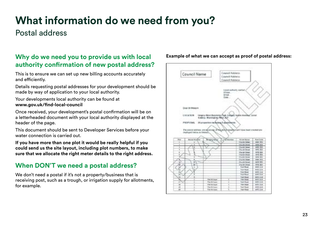# **What information do we need from you?**

### Postal address

### **Why do we need you to provide us with local authority confirmation of new postal address?**

This is to ensure we can set up new billing accounts accurately and efficiently.

Details requesting postal addresses for your development should be made by way of application to your local authority.

Your developments local authority can be found at **www.gov.uk/find-local-council**

Once received, your development's postal confirmation will be on a letterheaded document with your local authority displayed at the header of the page.

This document should be sent to Developer Services before your water connection is carried out.

**If you have more than one plot it would be really helpful if you could send us the site layout, including plot numbers, to make sure that we allocate the right meter details to the right address.** 

### **When DON'T we need a postal address?**

We don't need a postal if it's not a property/business that is receiving post, such as a trough, or irrigation supply for allotments, for example.

#### **Example of what we can accept as proof of postal address:**

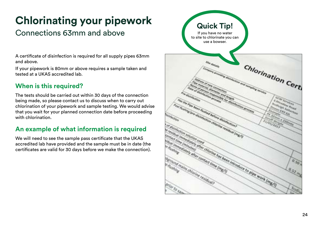# **Chlorinating your pipework**

# Connections 63mm and above

A certificate of disinfection is required for all supply pipes 63mm and above.

If your pipework is 80mm or above requires a sample taken and tested at a UKAS accredited lab.

### **When is this required?**

The tests should be carried out within 30 days of the connection being made, so please contact us to discuss when to carry out chlorination of your pipework and sample testing. We would advise that you wait for your planned connection date before proceeding with chlorination.

### **An example of what information is required**

We will need to see the sample pass certificate that the UKAS accredited lab have provided and the sample must be in date (the certificates are valid for 30 days before we make the connection).

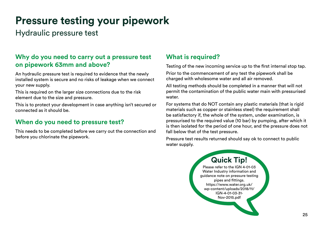# **Pressure testing your pipework**

Hydraulic pressure test

### **Why do you need to carry out a pressure test on pipework 63mm and above?**

An hydraulic pressure test is required to evidence that the newly installed system is secure and no risks of leakage when we connect your new supply.

This is required on the larger size connections due to the risk element due to the size and pressure.

This is to protect your development in case anything isn't secured or connected as it should be.

### **When do you need to pressure test?**

This needs to be completed before we carry out the connection and before you chlorinate the pipework.

### **What is required?**

Testing of the new incoming service up to the first internal stop tap.

Prior to the commencement of any test the pipework shall be charged with wholesome water and all air removed.

All testing methods should be completed in a manner that will not permit the contamination of the public water main with pressurised water.

For systems that do NOT contain any plastic materials (that is rigid materials such as copper or stainless steel) the requirement shall be satisfactory if, the whole of the system, under examination, is pressurised to the required value (10 bar) by pumping, after which it is then isolated for the period of one hour, and the pressure does not fall below that of the test pressure.

Pressure test results returned should say ok to connect to public water supply.

### **Quick Tip!**

Please refer to the IGN 4-01-03 Water Industry information and guidance note on pressure testing pipes and fittings. https://www.water.org.uk/ wp-content/uploads/2018/11/ IGN-4-01-03-31- Nov-2015.pdf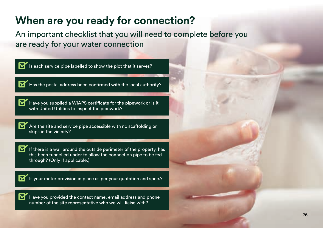# **When are you ready for connection?**

An important checklist that you will need to complete before you are ready for your water connection

| Is each service pipe labelled to show the plot that it serves?                                                                                                             |  |
|----------------------------------------------------------------------------------------------------------------------------------------------------------------------------|--|
| Has the postal address been confirmed with the local authority?                                                                                                            |  |
| Have you supplied a WIAPS certificate for the pipework or is it<br>with United Utilities to inspect the pipework?                                                          |  |
| Are the site and service pipe accessible with no scaffolding or<br>skips in the vicinity?                                                                                  |  |
| If there is a wall around the outside perimeter of the property, has<br>this been tunnelled under to allow the connection pipe to be fed<br>through? (Only if applicable.) |  |
| Is your meter provision in place as per your quotation and spec.?                                                                                                          |  |
| Have you provided the contact name, email address and phone<br>number of the site representative who we will liaise with?                                                  |  |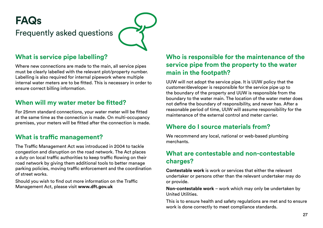

### **What is service pipe labelling?**

Where new connections are made to the main, all service pipes must be clearly labelled with the relevant plot/property number. Labelling is also required for internal pipework where multiple internal water meters are to be fitted. This is necessary in order to ensure correct billing information.

### **When will my water meter be fitted?**

For 25mm standard connections, your water meter will be fitted at the same time as the connection is made. On multi-occupancy premises, your meters will be fitted after the connection is made.

### **What is traffic management?**

The Traffic Management Act was introduced in 2004 to tackle congestion and disruption on the road network. The Act places a duty on local traffic authorities to keep traffic flowing on their road network by giving them additional tools to better manage parking policies, moving traffic enforcement and the coordination of street works.

Should you wish to find out more information on the Traffic Management Act, please visit **www.dft.gov.uk**

### **Who is responsible for the maintenance of the service pipe from the property to the water main in the footpath?**

UUW will not adopt the service pipe. It is UUW policy that the customer/developer is responsible for the service pipe up to the boundary of the property and UUW is responsible from the boundary to the water main. The location of the water meter does not define the boundary of responsibility, and never has. After a reasonable period of time, UUW will assume responsibility for the maintenance of the external control and meter carrier.

### **Where do I source materials from?**

We recommend any local, national or web-based plumbing merchants.

### **What are contestable and non-contestable charges?**

**Contestable work** is work or services that either the relevant undertaker or persons other than the relevant undertaker may do or provide.

**Non-contestable work** – work which may only be undertaken by United Utilities.

This is to ensure health and safety regulations are met and to ensure work is done correctly to meet compliance standards.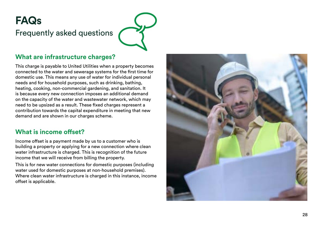# **FAQs**  Frequently asked questions

### **What are infrastructure charges?**

This charge is payable to United Utilities when a property becomes connected to the water and sewerage systems for the first time for domestic use. This means any use of water for individual personal needs and for household purposes, such as drinking, bathing, heating, cooking, non-commercial gardening, and sanitation. It is because every new connection imposes an additional demand on the capacity of the water and wastewater network, which may need to be upsized as a result. These fixed charges represent a contribution towards the capital expenditure in meeting that new demand and are shown in our charges scheme.

#### **What is income offset?**

Income offset is a payment made by us to a customer who is building a property or applying for a new connection where clean water infrastructure is charged. This is recognition of the future income that we will receive from billing the property.

This is for new water connections for domestic purposes (including water used for domestic purposes at non-household premises). Where clean water infrastructure is charged in this instance, income offset is applicable.

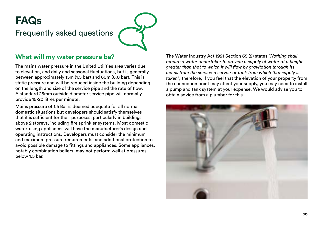# **FAQs**  Frequently asked questions

### **What will my water pressure be?**

The mains water pressure in the United Utilities area varies due to elevation, and daily and seasonal fluctuations, but is generally between approximately 15m (1.5 bar) and 60m (6.0 bar). This is static pressure and will be reduced inside the building depending on the length and size of the service pipe and the rate of flow. A standard 25mm outside diameter service pipe will normally provide 15-20 litres per minute.

Mains pressure of 1.5 Bar is deemed adequate for all normal domestic situations but developers should satisfy themselves that it is sufficient for their purposes, particularly in buildings above 2 storeys, including fire sprinkler systems. Most domestic water-using appliances will have the manufacturer's design and operating instructions. Developers must consider the minimum and maximum pressure requirements, and additional protection to avoid possible damage to fittings and appliances. Some appliances, notably combination boilers, may not perform well at pressures below 1.5 bar.

The Water Industry Act 1991 Section 65 (2) states *"Nothing shall require a water undertaker to provide a supply of water at a height greater than that to which it will flow by gravitation through its mains from the service reservoir or tank from which that supply is taken"*, therefore, if you feel that the elevation of your property from the connection point may affect your supply, you may need to install a pump and tank system at your expense. We would advise you to obtain advice from a plumber for this.

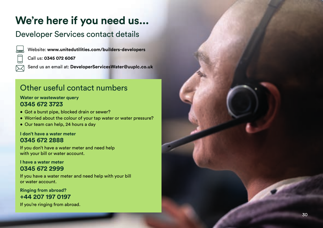# **We're here if you need us...**

### Developer Services contact details



Website: **www.unitedutilities.com/builders-developers**  Call us: **0345 072 6067**

Send us an email at: **DeveloperServicesWater@uuplc.co.uk**

### Other useful contact numbers

#### **Water or wastewater query 0345 672 3723**

- Got a burst pipe, blocked drain or sewer?
- Worried about the colour of your tap water or water pressure?
- Our team can help, 24 hours a day

#### **I don't have a water meter 0345 672 2888**

If you don't have a water meter and need help with your bill or water account.

#### **I have a water meter 0345 672 2999**

If you have a water meter and need help with your bill or water account.

**Ringing from abroad? +44 207 197 0197**

If you're ringing from abroad.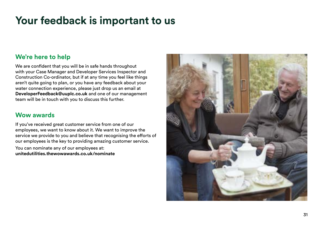# **Your feedback is important to us**

### **We're here to help**

We are confident that you will be in safe hands throughout with your Case Manager and Developer Services Inspector and Construction Co-ordinator, but if at any time you feel like things aren't quite going to plan, or you have any feedback about your water connection experience, please just drop us an email at **DeveloperFeedback@uuplc.co.uk** and one of our management team will be in touch with you to discuss this further.

### **Wow awards**

If you've received great customer service from one of our employees, we want to know about it. We want to improve the service we provide to you and believe that recognising the efforts of our employees is the key to providing amazing customer service. You can nominate any of our employees at: **unitedutilities.thewowawards.co.uk/nominate**